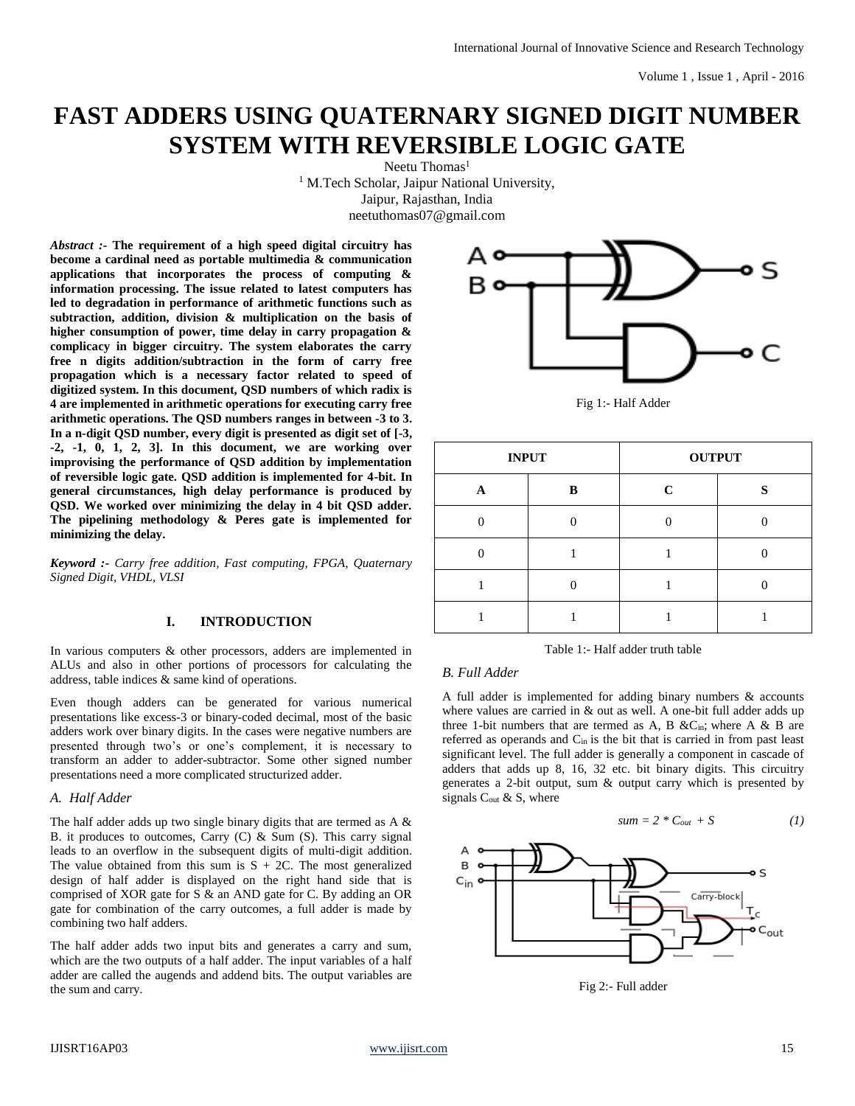# **FAST ADDERS USING QUATERNARY SIGNED DIGIT NUMBER SYSTEM WITH REVERSIBLE LOGIC GATE**

Neetu Thomas<sup>1</sup> <sup>1</sup> M.Tech Scholar, Jaipur National University, Jaipur, Rajasthan, India neetuthomas07@gmail.com

*Abstract :-* **The requirement of a high speed digital circuitry has become a cardinal need as portable multimedia & communication applications that incorporates the process of computing & information processing. The issue related to latest computers has led to degradation in performance of arithmetic functions such as subtraction, addition, division & multiplication on the basis of higher consumption of power, time delay in carry propagation & complicacy in bigger circuitry. The system elaborates the carry free n digits addition/subtraction in the form of carry free propagation which is a necessary factor related to speed of digitized system. In this document, QSD numbers of which radix is 4 are implemented in arithmetic operations for executing carry free arithmetic operations. The QSD numbers ranges in between -3 to 3. In a n-digit QSD number, every digit is presented as digit set of [-3, -2, -1, 0, 1, 2, 3]. In this document, we are working over improvising the performance of QSD addition by implementation of reversible logic gate. QSD addition is implemented for 4-bit. In general circumstances, high delay performance is produced by QSD. We worked over minimizing the delay in 4 bit QSD adder. The pipelining methodology & Peres gate is implemented for minimizing the delay.**

*Keyword :- Carry free addition, Fast computing, FPGA, Quaternary Signed Digit, VHDL, VLSI*

## **I. INTRODUCTION**

In various computers & other processors, adders are implemented in ALUs and also in other portions of processors for calculating the address, table indices & same kind of operations.

Even though adders can be generated for various numerical presentations like excess-3 or binary-coded decimal, most of the basic adders work over binary digits. In the cases were negative numbers are presented through two's or one's complement, it is necessary to transform an adder to adder-subtractor. Some other signed number presentations need a more complicated structurized adder.

## *A. Half Adder*

The half adder adds up two single binary digits that are termed as A  $\&$ B. it produces to outcomes, Carry  $(C)$  & Sum  $(S)$ . This carry signal leads to an overflow in the subsequent digits of multi-digit addition. The value obtained from this sum is  $S + 2C$ . The most generalized design of half adder is displayed on the right hand side that is comprised of XOR gate for S & an AND gate for C. By adding an OR gate for combination of the carry outcomes, a full adder is made by combining two half adders.

The half adder adds two input bits and generates a carry and sum, which are the two outputs of a half adder. The input variables of a half adder are called the augends and addend bits. The output variables are the sum and carry.



Fig 1:- Half Adder

| <b>INPUT</b> |   | <b>OUTPUT</b> |              |  |
|--------------|---|---------------|--------------|--|
| Α            | B | C             | $\mathbf{C}$ |  |
|              |   |               |              |  |
|              |   |               |              |  |
|              |   |               |              |  |
|              |   |               |              |  |

Table 1:- Half adder truth table

## *B. Full Adder*

A full adder is implemented for adding binary numbers & accounts where values are carried in  $&$  out as well. A one-bit full adder adds up three 1-bit numbers that are termed as A, B &Cin; where A & B are referred as operands and Cin is the bit that is carried in from past least significant level. The full adder is generally a component in cascade of adders that adds up 8, 16, 32 etc. bit binary digits. This circuitry generates a 2-bit output, sum & output carry which is presented by signals C<sub>out</sub> & S, where

$$
sum = 2 \cdot C_{out} + S \tag{1}
$$



Fig 2:- Full adder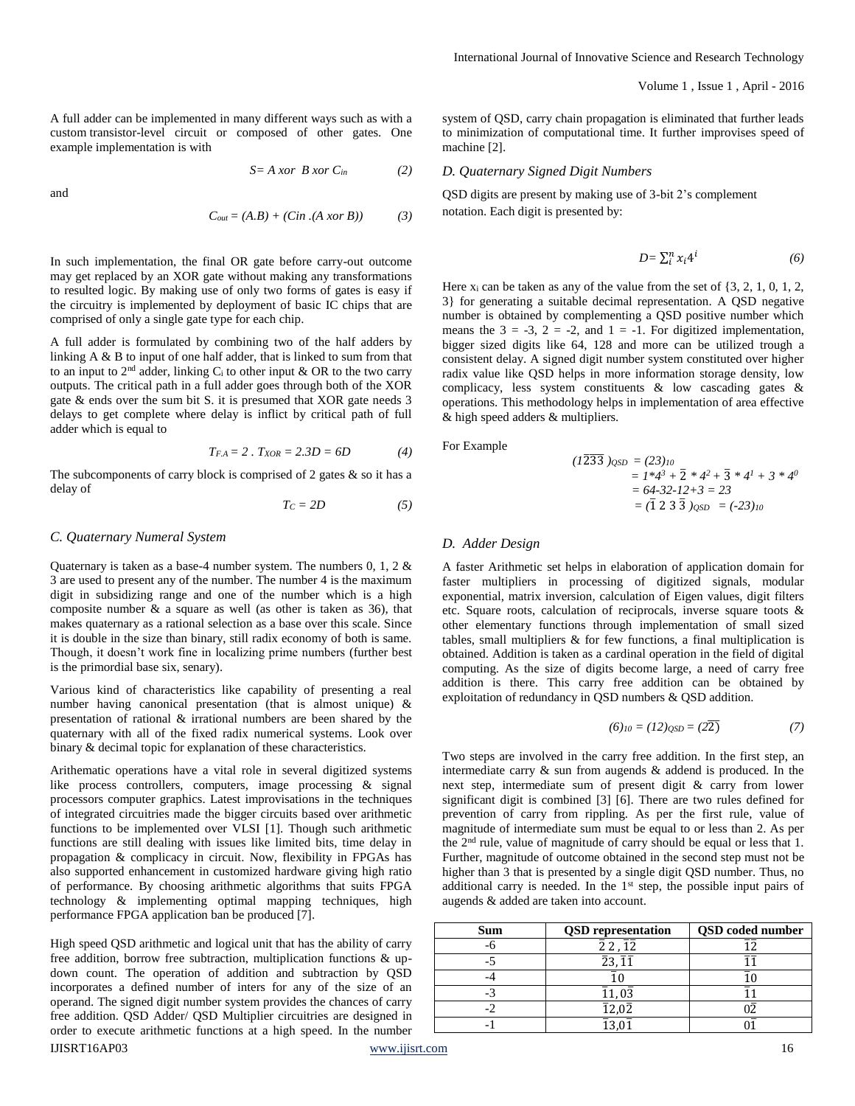A full adder can be implemented in many different ways such as with a custom [transistor-](http://en.wikipedia.org/wiki/Transistor)level circuit or composed of other gates. One example implementation is with

$$
S = A \; x \text{or} \; B \; x \text{or} \; C_{\text{in}} \tag{2}
$$

and

$$
C_{out} = (A.B) + (Cin.(A xor B)) \tag{3}
$$

In such implementation, the final OR gate before carry-out outcome may get replaced by an XOR gate without making any transformations to resulted logic. By making use of only two forms of gates is easy if the circuitry is implemented by deployment of basic IC chips that are comprised of only a single gate type for each chip.

A full adder is formulated by combining two of the half adders by linking A & B to input of one half adder, that is linked to sum from that to an input to  $2<sup>nd</sup>$  adder, linking  $C<sub>i</sub>$  to other input & OR to the two carry outputs. The critical path in a full adder goes through both of the XOR gate & ends over the sum bit S. it is presumed that XOR gate needs 3 delays to get complete where delay is inflict by critical path of full adder which is equal to

$$
T_{FA} = 2 \cdot T_{XOR} = 2.3D = 6D \tag{4}
$$

The subcomponents of carry block is comprised of 2 gates  $\&$  so it has a delay of

$$
T_C = 2D \tag{5}
$$

#### *C. Quaternary Numeral System*

Quaternary is taken as a base-4 number system. The numbers 0, 1, 2 & 3 are used to present any of the number. The number 4 is the maximum digit in subsidizing range and one of the number which is a high composite number  $\&$  a square as well (as other is taken as 36), that makes quaternary as a rational selection as a base over this scale. Since it is double in the size than binary, still radix economy of both is same. Though, it doesn't work fine in localizing prime numbers (further best is the primordial base six, senary).

Various kind of characteristics like capability of presenting a real number having canonical presentation (that is almost unique) & presentation of rational & irrational numbers are been shared by the quaternary with all of the fixed radix numerical systems. Look over binary & decimal topic for explanation of these characteristics.

Arithematic operations have a vital role in several digitized systems like process controllers, computers, image processing & signal processors computer graphics. Latest improvisations in the techniques of integrated circuitries made the bigger circuits based over arithmetic functions to be implemented over VLSI [1]. Though such arithmetic functions are still dealing with issues like limited bits, time delay in propagation & complicacy in circuit. Now, flexibility in FPGAs has also supported enhancement in customized hardware giving high ratio of performance. By choosing arithmetic algorithms that suits FPGA technology & implementing optimal mapping techniques, high performance FPGA application ban be produced [7].

High speed QSD arithmetic and logical unit that has the ability of carry free addition, borrow free subtraction, multiplication functions & updown count. The operation of addition and subtraction by QSD incorporates a defined number of inters for any of the size of an operand. The signed digit number system provides the chances of carry free addition. QSD Adder/ QSD Multiplier circuitries are designed in order to execute arithmetic functions at a high speed. In the number

system of QSD, carry chain propagation is eliminated that further leads to minimization of computational time. It further improvises speed of machine [2].

#### *D. Quaternary Signed Digit Numbers*

QSD digits are present by making use of 3-bit 2's complement notation. Each digit is presented by:

$$
D = \sum_{i}^{n} x_i 4^i \tag{6}
$$

Here  $x_i$  can be taken as any of the value from the set of  $\{3, 2, 1, 0, 1, 2, 1\}$ 3} for generating a suitable decimal representation. A QSD negative number is obtained by complementing a QSD positive number which means the  $3 = -3$ ,  $2 = -2$ , and  $1 = -1$ . For digitized implementation, bigger sized digits like 64, 128 and more can be utilized trough a consistent delay. A signed digit number system constituted over higher radix value like QSD helps in more information storage density, low complicacy, less system constituents & low cascading gates & operations. This methodology helps in implementation of area effective & high speed adders & multipliers.

For Example

$$
(1\overline{2}\overline{3}\overline{3})_{QSD} = (23)_{10}
$$
  
=  $1*4^3 + \overline{2} * 4^2 + \overline{3} * 4^1 + 3 * 4^0$   
=  $64.32 \cdot 12 + 3 = 23$   
=  $(\overline{1} \ 2 \ 3 \ \overline{3})_{QSD} = (-23)_{10}$ 

#### *D. Adder Design*

A faster Arithmetic set helps in elaboration of application domain for faster multipliers in processing of digitized signals, modular exponential, matrix inversion, calculation of Eigen values, digit filters etc. Square roots, calculation of reciprocals, inverse square toots & other elementary functions through implementation of small sized tables, small multipliers  $\&$  for few functions, a final multiplication is obtained. Addition is taken as a cardinal operation in the field of digital computing. As the size of digits become large, a need of carry free addition is there. This carry free addition can be obtained by exploitation of redundancy in QSD numbers & QSD addition.

$$
(6)_{10} = (12)_{\text{QSD}} = (2\overline{2})\tag{7}
$$

Two steps are involved in the carry free addition. In the first step, an intermediate carry & sun from augends & addend is produced. In the next step, intermediate sum of present digit & carry from lower significant digit is combined [3] [6]. There are two rules defined for prevention of carry from rippling. As per the first rule, value of magnitude of intermediate sum must be equal to or less than 2. As per the 2nd rule, value of magnitude of carry should be equal or less that 1. Further, magnitude of outcome obtained in the second step must not be higher than 3 that is presented by a single digit QSD number. Thus, no additional carry is needed. In the  $1<sup>st</sup>$  step, the possible input pairs of augends & added are taken into account.

| <b>Sum</b> | <b>QSD</b> representation     | <b>QSD</b> coded number |
|------------|-------------------------------|-------------------------|
|            | $22, \overline{12}$           |                         |
|            | $\bar{2}3,\bar{1}\bar{1}$     |                         |
|            |                               |                         |
|            | $\bar{1}1, 0\bar{3}$          |                         |
|            | $\overline{1}2,0\overline{2}$ |                         |
|            |                               |                         |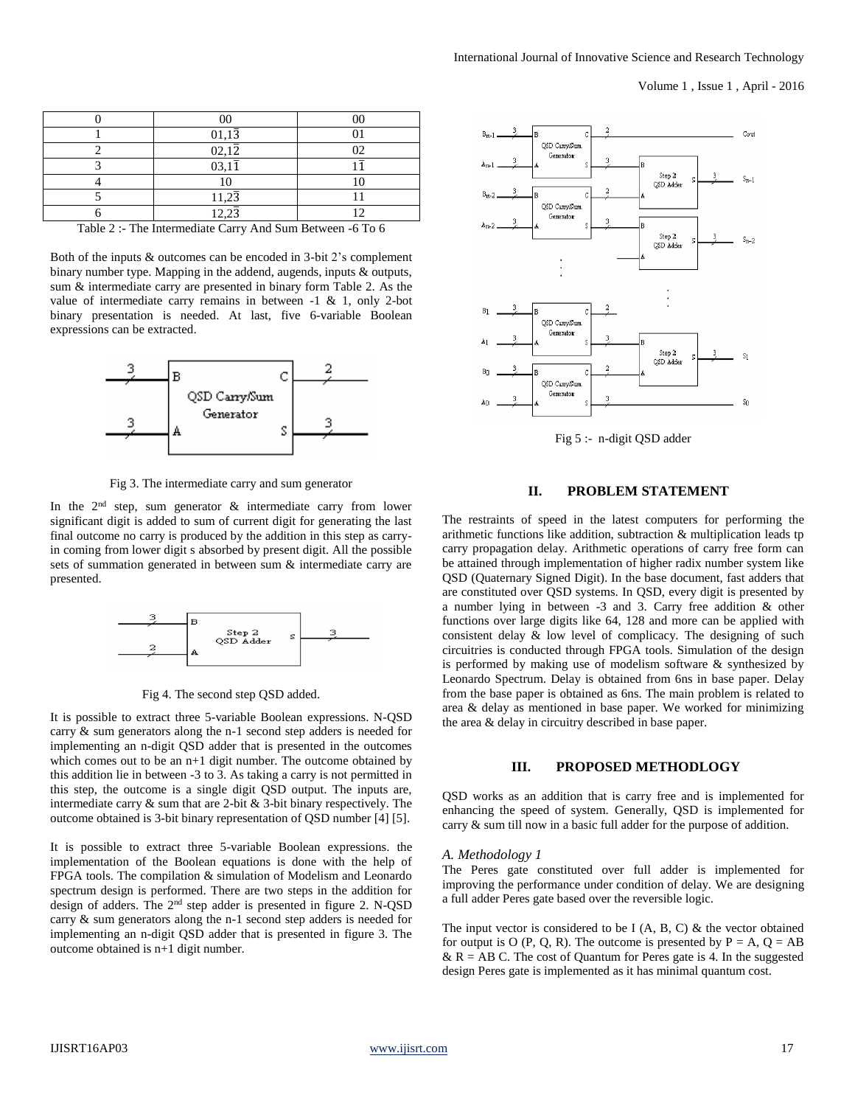| 01,13              |  |
|--------------------|--|
| $02,1\overline{2}$ |  |
| 03,11              |  |
|                    |  |
| $11,2\overline{3}$ |  |
| $12.2\bar{2}$      |  |

Table 2 :- The Intermediate Carry And Sum Between -6 To 6

Both of the inputs & outcomes can be encoded in 3-bit 2's complement binary number type. Mapping in the addend, augends, inputs & outputs, sum & intermediate carry are presented in binary form Table 2. As the value of intermediate carry remains in between -1 & 1, only 2-bot binary presentation is needed. At last, five 6-variable Boolean expressions can be extracted.



Fig 3. The intermediate carry and sum generator

In the  $2<sup>nd</sup>$  step, sum generator  $\&$  intermediate carry from lower significant digit is added to sum of current digit for generating the last final outcome no carry is produced by the addition in this step as carryin coming from lower digit s absorbed by present digit. All the possible sets of summation generated in between sum & intermediate carry are presented.



Fig 4. The second step QSD added.

It is possible to extract three 5-variable Boolean expressions. N-QSD carry & sum generators along the n-1 second step adders is needed for implementing an n-digit QSD adder that is presented in the outcomes which comes out to be an n+1 digit number. The outcome obtained by this addition lie in between -3 to 3. As taking a carry is not permitted in this step, the outcome is a single digit QSD output. The inputs are, intermediate carry  $\&$  sum that are 2-bit  $\&$  3-bit binary respectively. The outcome obtained is 3-bit binary representation of QSD number [4] [5].

It is possible to extract three 5-variable Boolean expressions. the implementation of the Boolean equations is done with the help of FPGA tools. The compilation & simulation of Modelism and Leonardo spectrum design is performed. There are two steps in the addition for design of adders. The 2<sup>nd</sup> step adder is presented in figure 2. N-QSD carry & sum generators along the n-1 second step adders is needed for implementing an n-digit QSD adder that is presented in figure 3. The outcome obtained is n+1 digit number.



Fig 5 :- n-digit QSD adder

## **II. PROBLEM STATEMENT**

The restraints of speed in the latest computers for performing the arithmetic functions like addition, subtraction & multiplication leads tp carry propagation delay. Arithmetic operations of carry free form can be attained through implementation of higher radix number system like QSD (Quaternary Signed Digit). In the base document, fast adders that are constituted over QSD systems. In QSD, every digit is presented by a number lying in between -3 and 3. Carry free addition & other functions over large digits like 64, 128 and more can be applied with consistent delay & low level of complicacy. The designing of such circuitries is conducted through FPGA tools. Simulation of the design is performed by making use of modelism software & synthesized by Leonardo Spectrum. Delay is obtained from 6ns in base paper. Delay from the base paper is obtained as 6ns. The main problem is related to area & delay as mentioned in base paper. We worked for minimizing the area & delay in circuitry described in base paper.

#### **III. PROPOSED METHODLOGY**

QSD works as an addition that is carry free and is implemented for enhancing the speed of system. Generally, QSD is implemented for carry & sum till now in a basic full adder for the purpose of addition.

#### *A. Methodology 1*

The Peres gate constituted over full adder is implemented for improving the performance under condition of delay. We are designing a full adder Peres gate based over the reversible logic.

The input vector is considered to be I  $(A, B, C)$  & the vector obtained for output is O (P, Q, R). The outcome is presented by  $P = A$ ,  $Q = AB$  $&$  R = AB C. The cost of Quantum for Peres gate is 4. In the suggested design Peres gate is implemented as it has minimal quantum cost.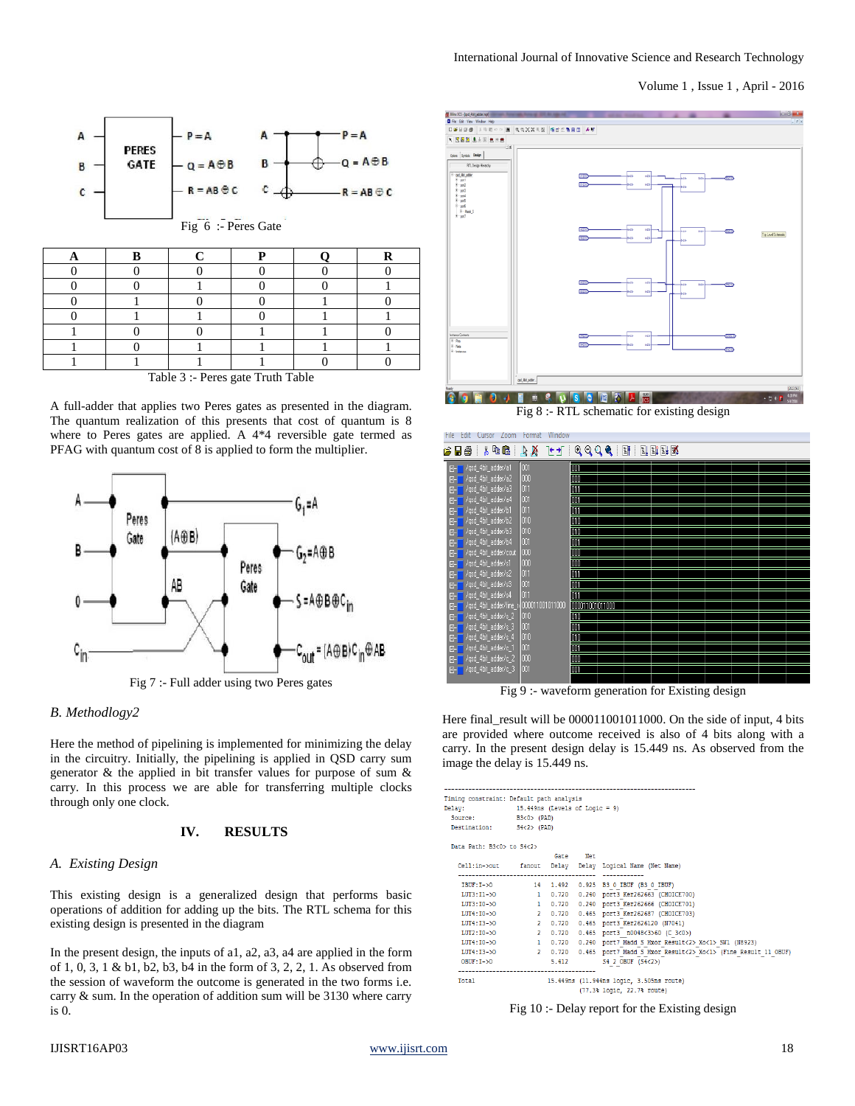#### Volume 1 , Issue 1 , April - 2016



| Toble 2 . Dorog goto Truth Toble |  |  |  |  |  |
|----------------------------------|--|--|--|--|--|

Table 3 :- Peres gate Truth Table

A full-adder that applies two Peres gates as presented in the diagram. The quantum realization of this presents that cost of quantum is 8 where to Peres gates are applied. A 4\*4 reversible gate termed as PFAG with quantum cost of 8 is applied to form the multiplier.



*B. Methodlogy2* 

Here the method of pipelining is implemented for minimizing the delay in the circuitry. Initially, the pipelining is applied in QSD carry sum generator & the applied in bit transfer values for purpose of sum & carry. In this process we are able for transferring multiple clocks through only one clock.

## **IV. RESULTS**

#### *A. Existing Design*

This existing design is a generalized design that performs basic operations of addition for adding up the bits. The RTL schema for this existing design is presented in the diagram

In the present design, the inputs of a1, a2, a3, a4 are applied in the form of 1, 0, 3, 1 & b1, b2, b3, b4 in the form of 3, 2, 2, 1. As observed from the session of waveform the outcome is generated in the two forms i.e. carry & sum. In the operation of addition sum will be 3130 where carry is 0.



Fig 8 :- RTL schematic for existing design



Fig 9 :- waveform generation for Existing design

Here final\_result will be 000011001011000. On the side of input, 4 bits are provided where outcome received is also of 4 bits along with a carry. In the present design delay is 15.449 ns. As observed from the image the delay is 15.449 ns.

| Timing constraint: Default path analysis<br>Delay: 15.449ns (Levels of Logic = 9)<br>Source: B3<0> (PAD) |          |                                                                                  |
|----------------------------------------------------------------------------------------------------------|----------|----------------------------------------------------------------------------------|
| Destination: S4<2> (PAD)                                                                                 |          |                                                                                  |
| Data Path: B3<0> to S4<2>                                                                                | Gate Net |                                                                                  |
|                                                                                                          |          | Cell:in->out fanout Delay Delay Logical Name (Net Name)                          |
|                                                                                                          |          |                                                                                  |
|                                                                                                          |          | IBUF:I->0 14 1.492 0.925 B3 0 IBUF (B3 0 IBUF)                                   |
|                                                                                                          |          | LUT3:I1->0 1 0.720 0.240 port3 Ker262663 (CHOICE700)                             |
|                                                                                                          |          | LUT3:10->0 1 0.720 0.240 port3 Ker262666 (CHOICE701)                             |
|                                                                                                          |          | LUT4:I0->0 2 0.720 0.465 port3 Ker262687 (CHOICE703)                             |
|                                                                                                          |          | LUT4:I3->0 2 0.720 0.465 port3 Ker2626120 (N7041)                                |
|                                                                                                          |          | LUT2:I0->0 2 0.720 0.465 port3 n0048<3>60 (C 3<0>)                               |
|                                                                                                          |          | LUT4:10->0 1 0.720 0.240 port7 Madd S Mxor Result<2> Xo<1> SW1 (N8923)           |
|                                                                                                          |          | LUT4:I3->0 2 0.720 0.465 port7 Madd S Mxor Result<2> Xo<1> (Fine Result 11 OBUF) |
|                                                                                                          |          | OBUF:I->0 5.412 S4 2 OBUF (S4<2>)                                                |
| Total                                                                                                    |          | 15.449ns (11.944ns logic, 3.505ns route)<br>(77.3% logic, 22.7% route)           |

Fig 10 :- Delay report for the Existing design